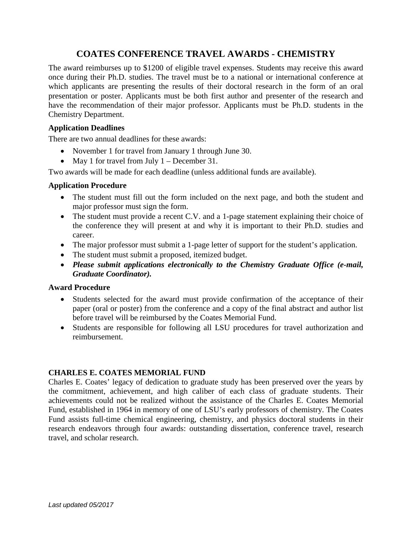## **COATES CONFERENCE TRAVEL AWARDS - CHEMISTRY**

The award reimburses up to \$1200 of eligible travel expenses. Students may receive this award once during their Ph.D. studies. The travel must be to a national or international conference at which applicants are presenting the results of their doctoral research in the form of an oral presentation or poster. Applicants must be both first author and presenter of the research and have the recommendation of their major professor. Applicants must be Ph.D. students in the Chemistry Department.

#### **Application Deadlines**

There are two annual deadlines for these awards:

- November 1 for travel from January 1 through June 30.
- May 1 for travel from July 1 December 31.

Two awards will be made for each deadline (unless additional funds are available).

#### **Application Procedure**

- The student must fill out the form included on the next page, and both the student and major professor must sign the form.
- The student must provide a recent C.V. and a 1-page statement explaining their choice of the conference they will present at and why it is important to their Ph.D. studies and career.
- The major professor must submit a 1-page letter of support for the student's application.
- The student must submit a proposed, itemized budget.
- *Please submit applications electronically to the Chemistry Graduate Office (e-mail, Graduate Coordinator).*

#### **Award Procedure**

- Students selected for the award must provide confirmation of the acceptance of their paper (oral or poster) from the conference and a copy of the final abstract and author list before travel will be reimbursed by the Coates Memorial Fund.
- Students are responsible for following all LSU procedures for travel authorization and reimbursement.

### **CHARLES E. COATES MEMORIAL FUND**

Charles E. Coates' legacy of dedication to graduate study has been preserved over the years by the commitment, achievement, and high caliber of each class of graduate students. Their achievements could not be realized without the assistance of the Charles E. Coates Memorial Fund, established in 1964 in memory of one of LSU's early professors of chemistry. The Coates Fund assists full-time chemical engineering, chemistry, and physics doctoral students in their research endeavors through four awards: outstanding dissertation, conference travel, research travel, and scholar research.